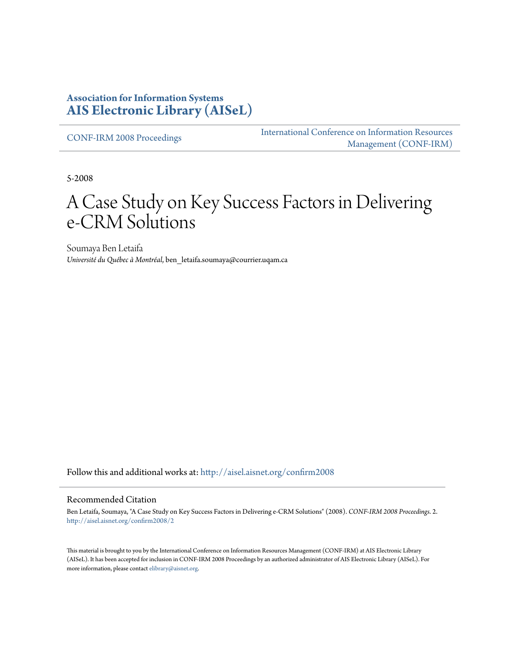## **Association for Information Systems [AIS Electronic Library \(AISeL\)](http://aisel.aisnet.org?utm_source=aisel.aisnet.org%2Fconfirm2008%2F2&utm_medium=PDF&utm_campaign=PDFCoverPages)**

[CONF-IRM 2008 Proceedings](http://aisel.aisnet.org/confirm2008?utm_source=aisel.aisnet.org%2Fconfirm2008%2F2&utm_medium=PDF&utm_campaign=PDFCoverPages)

[International Conference on Information Resources](http://aisel.aisnet.org/conf-irm?utm_source=aisel.aisnet.org%2Fconfirm2008%2F2&utm_medium=PDF&utm_campaign=PDFCoverPages) [Management \(CONF-IRM\)](http://aisel.aisnet.org/conf-irm?utm_source=aisel.aisnet.org%2Fconfirm2008%2F2&utm_medium=PDF&utm_campaign=PDFCoverPages)

5-2008

# A Case Study on Key Success Factors in Delivering e-CRM Solutions

Soumaya Ben Letaifa *Université du Québec à Montréal*, ben\_letaifa.soumaya@courrier.uqam.ca

Follow this and additional works at: [http://aisel.aisnet.org/confirm2008](http://aisel.aisnet.org/confirm2008?utm_source=aisel.aisnet.org%2Fconfirm2008%2F2&utm_medium=PDF&utm_campaign=PDFCoverPages)

#### Recommended Citation

Ben Letaifa, Soumaya, "A Case Study on Key Success Factors in Delivering e-CRM Solutions" (2008). *CONF-IRM 2008 Proceedings*. 2. [http://aisel.aisnet.org/confirm2008/2](http://aisel.aisnet.org/confirm2008/2?utm_source=aisel.aisnet.org%2Fconfirm2008%2F2&utm_medium=PDF&utm_campaign=PDFCoverPages)

This material is brought to you by the International Conference on Information Resources Management (CONF-IRM) at AIS Electronic Library (AISeL). It has been accepted for inclusion in CONF-IRM 2008 Proceedings by an authorized administrator of AIS Electronic Library (AISeL). For more information, please contact [elibrary@aisnet.org.](mailto:elibrary@aisnet.org%3E)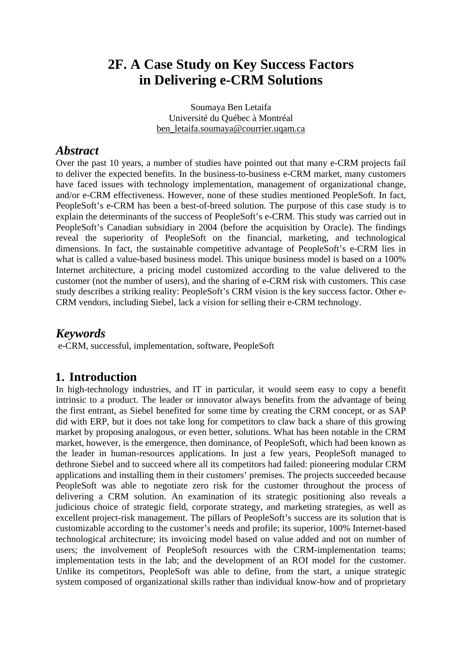## **2F. A Case Study on Key Success Factors in Delivering e-CRM Solutions**

Soumaya Ben Letaifa Université du Québec à Montréal ben\_letaifa.soumaya@courrier.uqam.ca

### *Abstract*

Over the past 10 years, a number of studies have pointed out that many e-CRM projects fail to deliver the expected benefits. In the business-to-business e-CRM market, many customers have faced issues with technology implementation, management of organizational change, and/or e-CRM effectiveness. However, none of these studies mentioned PeopleSoft. In fact, PeopleSoft's e-CRM has been a best-of-breed solution. The purpose of this case study is to explain the determinants of the success of PeopleSoft's e-CRM. This study was carried out in PeopleSoft's Canadian subsidiary in 2004 (before the acquisition by Oracle). The findings reveal the superiority of PeopleSoft on the financial, marketing, and technological dimensions. In fact, the sustainable competitive advantage of PeopleSoft's e-CRM lies in what is called a value-based business model. This unique business model is based on a 100% Internet architecture, a pricing model customized according to the value delivered to the customer (not the number of users), and the sharing of e-CRM risk with customers. This case study describes a striking reality: PeopleSoft's CRM vision is the key success factor. Other e-CRM vendors, including Siebel, lack a vision for selling their e-CRM technology.

## *Keywords*

e-CRM, successful, implementation, software, PeopleSoft

## **1. Introduction**

In high-technology industries, and IT in particular, it would seem easy to copy a benefit intrinsic to a product. The leader or innovator always benefits from the advantage of being the first entrant, as Siebel benefited for some time by creating the CRM concept, or as SAP did with ERP, but it does not take long for competitors to claw back a share of this growing market by proposing analogous, or even better, solutions. What has been notable in the CRM market, however, is the emergence, then dominance, of PeopleSoft, which had been known as the leader in human-resources applications. In just a few years, PeopleSoft managed to dethrone Siebel and to succeed where all its competitors had failed: pioneering modular CRM applications and installing them in their customers' premises. The projects succeeded because PeopleSoft was able to negotiate zero risk for the customer throughout the process of delivering a CRM solution. An examination of its strategic positioning also reveals a judicious choice of strategic field, corporate strategy, and marketing strategies, as well as excellent project-risk management. The pillars of PeopleSoft's success are its solution that is customizable according to the customer's needs and profile; its superior, 100% Internet-based technological architecture; its invoicing model based on value added and not on number of users; the involvement of PeopleSoft resources with the CRM-implementation teams; implementation tests in the lab; and the development of an ROI model for the customer. Unlike its competitors, PeopleSoft was able to define, from the start, a unique strategic system composed of organizational skills rather than individual know-how and of proprietary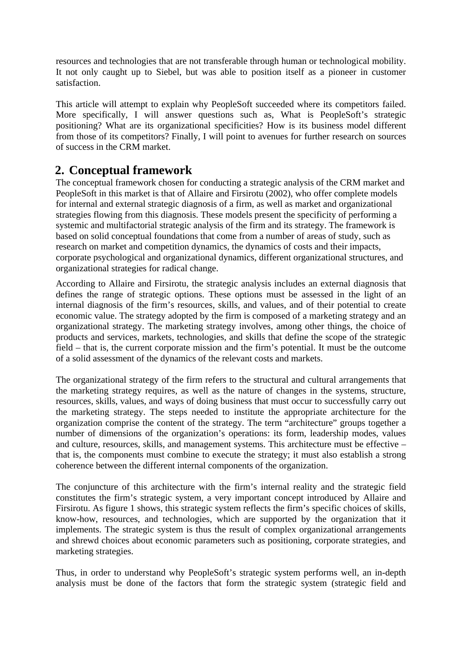resources and technologies that are not transferable through human or technological mobility. It not only caught up to Siebel, but was able to position itself as a pioneer in customer satisfaction.

This article will attempt to explain why PeopleSoft succeeded where its competitors failed. More specifically, I will answer questions such as, What is PeopleSoft's strategic positioning? What are its organizational specificities? How is its business model different from those of its competitors? Finally, I will point to avenues for further research on sources of success in the CRM market.

## **2. Conceptual framework**

The conceptual framework chosen for conducting a strategic analysis of the CRM market and PeopleSoft in this market is that of Allaire and Firsirotu (2002), who offer complete models for internal and external strategic diagnosis of a firm, as well as market and organizational strategies flowing from this diagnosis. These models present the specificity of performing a systemic and multifactorial strategic analysis of the firm and its strategy. The framework is based on solid conceptual foundations that come from a number of areas of study, such as research on market and competition dynamics, the dynamics of costs and their impacts, corporate psychological and organizational dynamics, different organizational structures, and organizational strategies for radical change.

According to Allaire and Firsirotu, the strategic analysis includes an external diagnosis that defines the range of strategic options. These options must be assessed in the light of an internal diagnosis of the firm's resources, skills, and values, and of their potential to create economic value. The strategy adopted by the firm is composed of a marketing strategy and an organizational strategy. The marketing strategy involves, among other things, the choice of products and services, markets, technologies, and skills that define the scope of the strategic field – that is, the current corporate mission and the firm's potential. It must be the outcome of a solid assessment of the dynamics of the relevant costs and markets.

The organizational strategy of the firm refers to the structural and cultural arrangements that the marketing strategy requires, as well as the nature of changes in the systems, structure, resources, skills, values, and ways of doing business that must occur to successfully carry out the marketing strategy. The steps needed to institute the appropriate architecture for the organization comprise the content of the strategy. The term "architecture" groups together a number of dimensions of the organization's operations: its form, leadership modes, values and culture, resources, skills, and management systems. This architecture must be effective – that is, the components must combine to execute the strategy; it must also establish a strong coherence between the different internal components of the organization.

The conjuncture of this architecture with the firm's internal reality and the strategic field constitutes the firm's strategic system, a very important concept introduced by Allaire and Firsirotu. As figure 1 shows, this strategic system reflects the firm's specific choices of skills, know-how, resources, and technologies, which are supported by the organization that it implements. The strategic system is thus the result of complex organizational arrangements and shrewd choices about economic parameters such as positioning, corporate strategies, and marketing strategies.

Thus, in order to understand why PeopleSoft's strategic system performs well, an in-depth analysis must be done of the factors that form the strategic system (strategic field and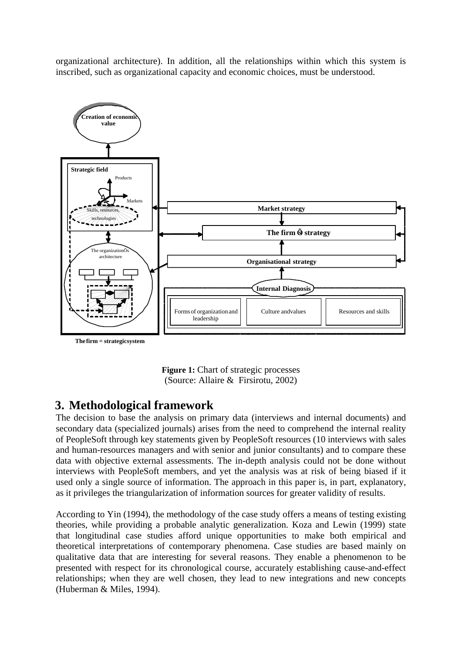organizational architecture). In addition, all the relationships within which this system is inscribed, such as organizational capacity and economic choices, must be understood.



**Thefirm = strategicsystem**



## **3. Methodological framework**

The decision to base the analysis on primary data (interviews and internal documents) and secondary data (specialized journals) arises from the need to comprehend the internal reality of PeopleSoft through key statements given by PeopleSoft resources (10 interviews with sales and human-resources managers and with senior and junior consultants) and to compare these data with objective external assessments. The in-depth analysis could not be done without interviews with PeopleSoft members, and yet the analysis was at risk of being biased if it used only a single source of information. The approach in this paper is, in part, explanatory, as it privileges the triangularization of information sources for greater validity of results.

According to Yin (1994), the methodology of the case study offers a means of testing existing theories, while providing a probable analytic generalization. Koza and Lewin (1999) state that longitudinal case studies afford unique opportunities to make both empirical and theoretical interpretations of contemporary phenomena. Case studies are based mainly on qualitative data that are interesting for several reasons. They enable a phenomenon to be presented with respect for its chronological course, accurately establishing cause-and-effect relationships; when they are well chosen, they lead to new integrations and new concepts (Huberman & Miles, 1994).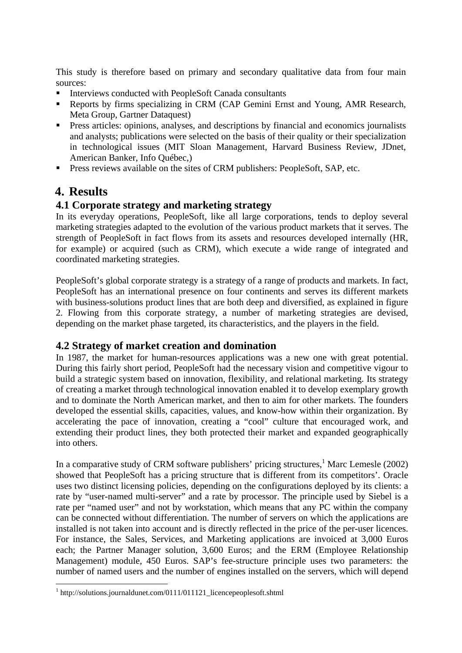This study is therefore based on primary and secondary qualitative data from four main sources:

- Interviews conducted with PeopleSoft Canada consultants
- Reports by firms specializing in CRM (CAP Gemini Ernst and Young, AMR Research*,*  Meta Group, Gartner Dataquest)
- **Press articles: opinions, analyses, and descriptions by financial and economics journalists** and analysts; publications were selected on the basis of their quality or their specialization in technological issues (MIT Sloan Management, Harvard Business Review, JDnet, American Banker, Info Québec,)
- **Press reviews available on the sites of CRM publishers: PeopleSoft, SAP, etc.**

## **4. Results**

#### **4.1 Corporate strategy and marketing strategy**

In its everyday operations, PeopleSoft, like all large corporations, tends to deploy several marketing strategies adapted to the evolution of the various product markets that it serves. The strength of PeopleSoft in fact flows from its assets and resources developed internally (HR, for example) or acquired (such as CRM), which execute a wide range of integrated and coordinated marketing strategies.

PeopleSoft's global corporate strategy is a strategy of a range of products and markets. In fact, PeopleSoft has an international presence on four continents and serves its different markets with business-solutions product lines that are both deep and diversified, as explained in figure 2. Flowing from this corporate strategy, a number of marketing strategies are devised, depending on the market phase targeted, its characteristics, and the players in the field.

#### **4.2 Strategy of market creation and domination**

In 1987, the market for human-resources applications was a new one with great potential. During this fairly short period, PeopleSoft had the necessary vision and competitive vigour to build a strategic system based on innovation, flexibility, and relational marketing. Its strategy of creating a market through technological innovation enabled it to develop exemplary growth and to dominate the North American market, and then to aim for other markets. The founders developed the essential skills, capacities, values, and know-how within their organization. By accelerating the pace of innovation, creating a "cool" culture that encouraged work, and extending their product lines, they both protected their market and expanded geographically into others.

In a comparative study of CRM software publishers' pricing structures,  $\frac{1}{1}$  Marc Lemesle (2002) showed that PeopleSoft has a pricing structure that is different from its competitors'. Oracle uses two distinct licensing policies, depending on the configurations deployed by its clients: a rate by "user-named multi-server" and a rate by processor. The principle used by Siebel is a rate per "named user" and not by workstation, which means that any PC within the company can be connected without differentiation. The number of servers on which the applications are installed is not taken into account and is directly reflected in the price of the per-user licences. For instance, the Sales, Services, and Marketing applications are invoiced at 3,000 Euros each; the Partner Manager solution, 3,600 Euros; and the ERM (Employee Relationship Management) module, 450 Euros. SAP's fee-structure principle uses two parameters: the number of named users and the number of engines installed on the servers, which will depend

 1 http://solutions.journaldunet.com/0111/011121\_licencepeoplesoft.shtml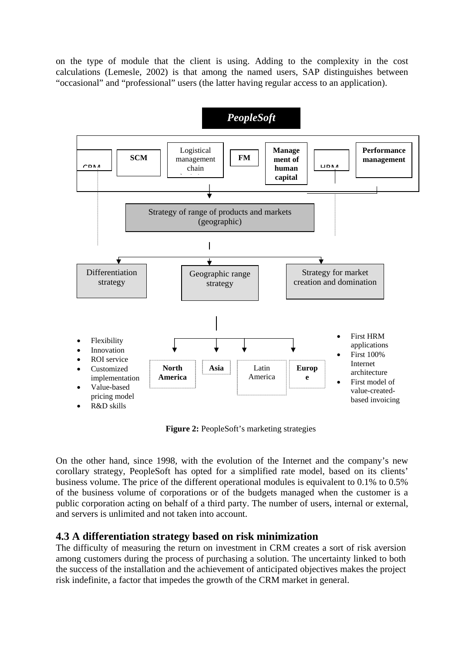on the type of module that the client is using. Adding to the complexity in the cost calculations (Lemesle, 2002) is that among the named users, SAP distinguishes between "occasional" and "professional" users (the latter having regular access to an application).



**Figure 2:** PeopleSoft's marketing strategies

On the other hand, since 1998, with the evolution of the Internet and the company's new corollary strategy, PeopleSoft has opted for a simplified rate model, based on its clients' business volume. The price of the different operational modules is equivalent to 0.1% to 0.5% of the business volume of corporations or of the budgets managed when the customer is a public corporation acting on behalf of a third party. The number of users, internal or external, and servers is unlimited and not taken into account.

#### **4.3 A differentiation strategy based on risk minimization**

The difficulty of measuring the return on investment in CRM creates a sort of risk aversion among customers during the process of purchasing a solution. The uncertainty linked to both the success of the installation and the achievement of anticipated objectives makes the project risk indefinite, a factor that impedes the growth of the CRM market in general.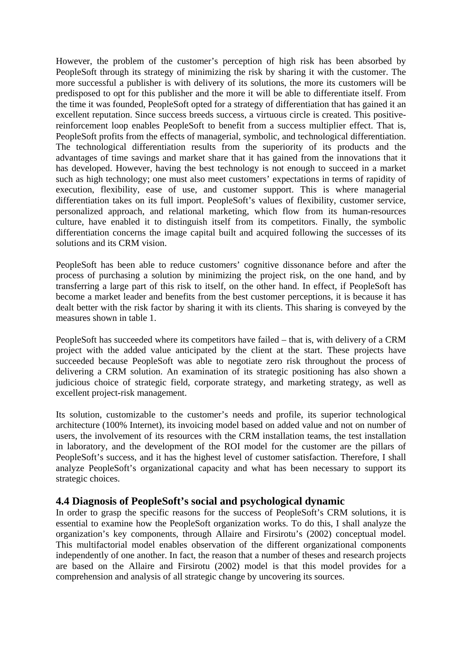However, the problem of the customer's perception of high risk has been absorbed by PeopleSoft through its strategy of minimizing the risk by sharing it with the customer. The more successful a publisher is with delivery of its solutions, the more its customers will be predisposed to opt for this publisher and the more it will be able to differentiate itself. From the time it was founded, PeopleSoft opted for a strategy of differentiation that has gained it an excellent reputation. Since success breeds success, a virtuous circle is created. This positivereinforcement loop enables PeopleSoft to benefit from a success multiplier effect. That is, PeopleSoft profits from the effects of managerial, symbolic, and technological differentiation. The technological differentiation results from the superiority of its products and the advantages of time savings and market share that it has gained from the innovations that it has developed. However, having the best technology is not enough to succeed in a market such as high technology; one must also meet customers' expectations in terms of rapidity of execution, flexibility, ease of use, and customer support. This is where managerial differentiation takes on its full import. PeopleSoft's values of flexibility, customer service, personalized approach, and relational marketing, which flow from its human-resources culture, have enabled it to distinguish itself from its competitors. Finally, the symbolic differentiation concerns the image capital built and acquired following the successes of its solutions and its CRM vision.

PeopleSoft has been able to reduce customers' cognitive dissonance before and after the process of purchasing a solution by minimizing the project risk, on the one hand, and by transferring a large part of this risk to itself, on the other hand. In effect, if PeopleSoft has become a market leader and benefits from the best customer perceptions, it is because it has dealt better with the risk factor by sharing it with its clients. This sharing is conveyed by the measures shown in table 1.

PeopleSoft has succeeded where its competitors have failed – that is, with delivery of a CRM project with the added value anticipated by the client at the start. These projects have succeeded because PeopleSoft was able to negotiate zero risk throughout the process of delivering a CRM solution. An examination of its strategic positioning has also shown a judicious choice of strategic field, corporate strategy, and marketing strategy, as well as excellent project-risk management.

Its solution, customizable to the customer's needs and profile, its superior technological architecture (100% Internet), its invoicing model based on added value and not on number of users, the involvement of its resources with the CRM installation teams, the test installation in laboratory, and the development of the ROI model for the customer are the pillars of PeopleSoft's success, and it has the highest level of customer satisfaction. Therefore, I shall analyze PeopleSoft's organizational capacity and what has been necessary to support its strategic choices.

#### **4.4 Diagnosis of PeopleSoft's social and psychological dynamic**

In order to grasp the specific reasons for the success of PeopleSoft's CRM solutions, it is essential to examine how the PeopleSoft organization works. To do this, I shall analyze the organization's key components, through Allaire and Firsirotu's (2002) conceptual model. This multifactorial model enables observation of the different organizational components independently of one another. In fact, the reason that a number of theses and research projects are based on the Allaire and Firsirotu (2002) model is that this model provides for a comprehension and analysis of all strategic change by uncovering its sources.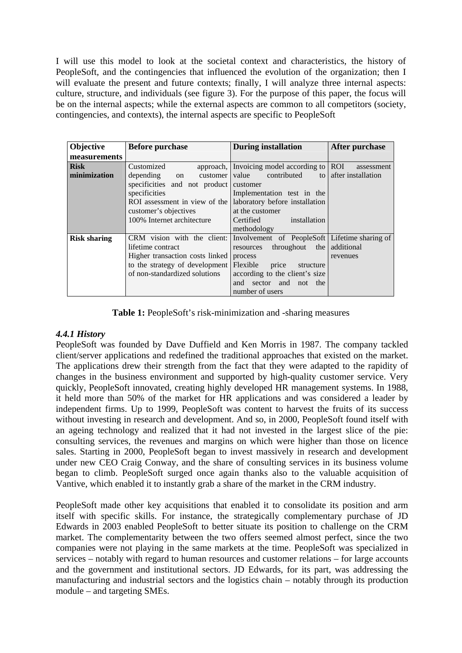I will use this model to look at the societal context and characteristics, the history of PeopleSoft, and the contingencies that influenced the evolution of the organization; then I will evaluate the present and future contexts; finally, I will analyze three internal aspects: culture, structure, and individuals (see figure 3). For the purpose of this paper, the focus will be on the internal aspects; while the external aspects are common to all competitors (society, contingencies, and contexts), the internal aspects are specific to PeopleSoft

| Objective           | <b>Before purchase</b>                                                    | <b>During installation</b>                 | After purchase        |
|---------------------|---------------------------------------------------------------------------|--------------------------------------------|-----------------------|
| measurements        |                                                                           |                                            |                       |
| <b>Risk</b>         | Customized                                                                | approach, Invoicing model according to ROI | assessment            |
| minimization        | depending<br>on                                                           | customer value contributed                 | to after installation |
|                     | specificities and not product customer                                    |                                            |                       |
|                     | specificities                                                             | Implementation test in the                 |                       |
|                     | ROI assessment in view of the                                             | laboratory before installation             |                       |
|                     | customer's objectives                                                     | at the customer                            |                       |
|                     | 100% Internet architecture                                                | installation<br><b>Certified</b>           |                       |
|                     |                                                                           | methodology                                |                       |
| <b>Risk sharing</b> | CRM vision with the client: Involvement of PeopleSoft Lifetime sharing of |                                            |                       |
|                     | lifetime contract                                                         | resources throughout the additional        |                       |
|                     | Higher transaction costs linked                                           | process                                    | revenues              |
|                     | to the strategy of development Flexible price structure                   |                                            |                       |
|                     | of non-standardized solutions                                             | according to the client's size             |                       |
|                     |                                                                           | and sector and not the                     |                       |
|                     |                                                                           | number of users                            |                       |

**Table 1:** PeopleSoft's risk-minimization and -sharing measures

#### *4.4.1 History*

PeopleSoft was founded by Dave Duffield and Ken Morris in 1987. The company tackled client/server applications and redefined the traditional approaches that existed on the market. The applications drew their strength from the fact that they were adapted to the rapidity of changes in the business environment and supported by high-quality customer service. Very quickly, PeopleSoft innovated, creating highly developed HR management systems. In 1988, it held more than 50% of the market for HR applications and was considered a leader by independent firms. Up to 1999, PeopleSoft was content to harvest the fruits of its success without investing in research and development. And so, in 2000, PeopleSoft found itself with an ageing technology and realized that it had not invested in the largest slice of the pie: consulting services, the revenues and margins on which were higher than those on licence sales. Starting in 2000, PeopleSoft began to invest massively in research and development under new CEO Craig Conway, and the share of consulting services in its business volume began to climb. PeopleSoft surged once again thanks also to the valuable acquisition of Vantive, which enabled it to instantly grab a share of the market in the CRM industry.

PeopleSoft made other key acquisitions that enabled it to consolidate its position and arm itself with specific skills. For instance, the strategically complementary purchase of JD Edwards in 2003 enabled PeopleSoft to better situate its position to challenge on the CRM market. The complementarity between the two offers seemed almost perfect, since the two companies were not playing in the same markets at the time. PeopleSoft was specialized in services – notably with regard to human resources and customer relations – for large accounts and the government and institutional sectors. JD Edwards, for its part, was addressing the manufacturing and industrial sectors and the logistics chain – notably through its production module – and targeting SMEs.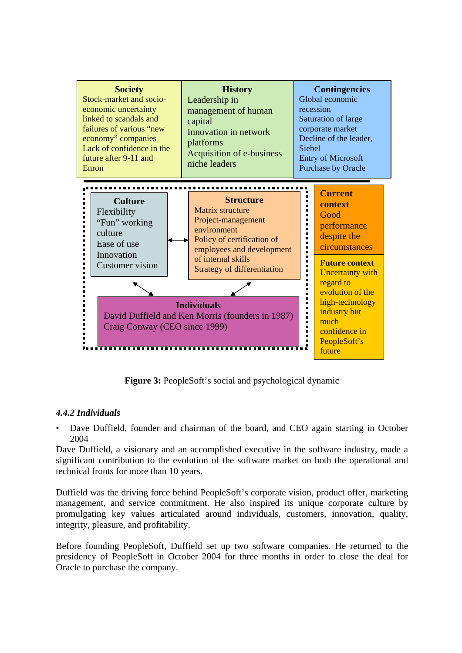

**Figure 3:** PeopleSoft's social and psychological dynamic

#### *4.4.2 Individuals*

• Dave Duffield, founder and chairman of the board, and CEO again starting in October 2004

Dave Duffield, a visionary and an accomplished executive in the software industry, made a significant contribution to the evolution of the software market on both the operational and technical fronts for more than 10 years.

Duffield was the driving force behind PeopleSoft's corporate vision, product offer, marketing management, and service commitment. He also inspired its unique corporate culture by promulgating key values articulated around individuals, customers, innovation, quality, integrity, pleasure, and profitability.

Before founding PeopleSoft, Duffield set up two software companies. He returned to the presidency of PeopleSoft in October 2004 for three months in order to close the deal for Oracle to purchase the company.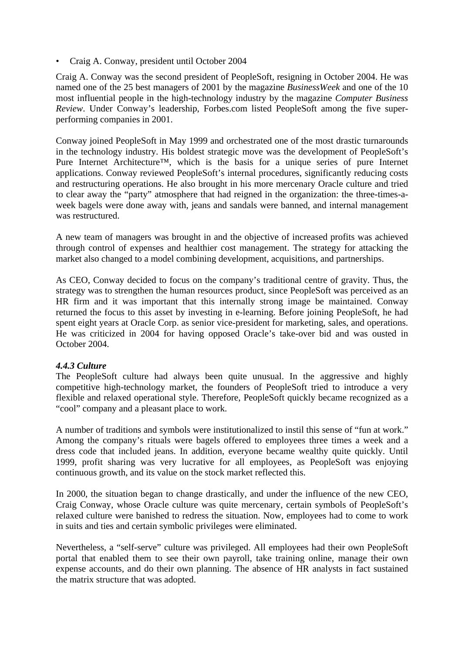• Craig A. Conway, president until October 2004

Craig A. Conway was the second president of PeopleSoft, resigning in October 2004. He was named one of the 25 best managers of 2001 by the magazine *BusinessWeek* and one of the 10 most influential people in the high-technology industry by the magazine *Computer Business Review*. Under Conway's leadership, Forbes.com listed PeopleSoft among the five superperforming companies in 2001.

Conway joined PeopleSoft in May 1999 and orchestrated one of the most drastic turnarounds in the technology industry. His boldest strategic move was the development of PeopleSoft's Pure Internet Architecture™, which is the basis for a unique series of pure Internet applications. Conway reviewed PeopleSoft's internal procedures, significantly reducing costs and restructuring operations. He also brought in his more mercenary Oracle culture and tried to clear away the "party" atmosphere that had reigned in the organization: the three-times-aweek bagels were done away with, jeans and sandals were banned, and internal management was restructured.

A new team of managers was brought in and the objective of increased profits was achieved through control of expenses and healthier cost management. The strategy for attacking the market also changed to a model combining development, acquisitions, and partnerships.

As CEO, Conway decided to focus on the company's traditional centre of gravity. Thus, the strategy was to strengthen the human resources product, since PeopleSoft was perceived as an HR firm and it was important that this internally strong image be maintained. Conway returned the focus to this asset by investing in e-learning. Before joining PeopleSoft, he had spent eight years at Oracle Corp. as senior vice-president for marketing, sales, and operations. He was criticized in 2004 for having opposed Oracle's take-over bid and was ousted in October 2004.

#### *4.4.3 Culture*

The PeopleSoft culture had always been quite unusual. In the aggressive and highly competitive high-technology market, the founders of PeopleSoft tried to introduce a very flexible and relaxed operational style. Therefore, PeopleSoft quickly became recognized as a "cool" company and a pleasant place to work.

A number of traditions and symbols were institutionalized to instil this sense of "fun at work." Among the company's rituals were bagels offered to employees three times a week and a dress code that included jeans. In addition, everyone became wealthy quite quickly. Until 1999, profit sharing was very lucrative for all employees, as PeopleSoft was enjoying continuous growth, and its value on the stock market reflected this.

In 2000, the situation began to change drastically, and under the influence of the new CEO, Craig Conway, whose Oracle culture was quite mercenary, certain symbols of PeopleSoft's relaxed culture were banished to redress the situation. Now, employees had to come to work in suits and ties and certain symbolic privileges were eliminated.

Nevertheless, a "self-serve" culture was privileged. All employees had their own PeopleSoft portal that enabled them to see their own payroll, take training online, manage their own expense accounts, and do their own planning. The absence of HR analysts in fact sustained the matrix structure that was adopted.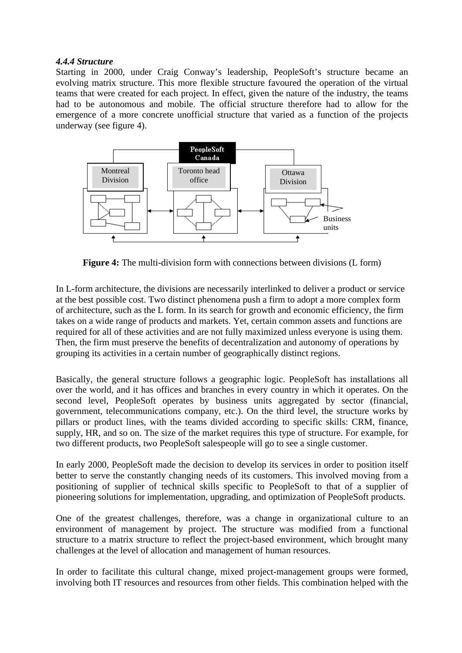#### *4.4.4 Structure*

Starting in 2000, under Craig Conway's leadership, PeopleSoft's structure became an evolving matrix structure. This more flexible structure favoured the operation of the virtual teams that were created for each project. In effect, given the nature of the industry, the teams had to be autonomous and mobile. The official structure therefore had to allow for the emergence of a more concrete unofficial structure that varied as a function of the projects underway (see figure 4).



**Figure 4:** The multi-division form with connections between divisions (L form)

In L-form architecture, the divisions are necessarily interlinked to deliver a product or service at the best possible cost. Two distinct phenomena push a firm to adopt a more complex form of architecture, such as the L form. In its search for growth and economic efficiency, the firm takes on a wide range of products and markets. Yet, certain common assets and functions are required for all of these activities and are not fully maximized unless everyone is using them. Then, the firm must preserve the benefits of decentralization and autonomy of operations by grouping its activities in a certain number of geographically distinct regions.

Basically, the general structure follows a geographic logic. PeopleSoft has installations all over the world, and it has offices and branches in every country in which it operates. On the second level, PeopleSoft operates by business units aggregated by sector (financial, government, telecommunications company, etc.). On the third level, the structure works by pillars or product lines, with the teams divided according to specific skills: CRM, finance, supply, HR, and so on. The size of the market requires this type of structure. For example, for two different products, two PeopleSoft salespeople will go to see a single customer.

In early 2000, PeopleSoft made the decision to develop its services in order to position itself better to serve the constantly changing needs of its customers. This involved moving from a positioning of supplier of technical skills specific to PeopleSoft to that of a supplier of pioneering solutions for implementation, upgrading, and optimization of PeopleSoft products.

One of the greatest challenges, therefore, was a change in organizational culture to an environment of management by project. The structure was modified from a functional structure to a matrix structure to reflect the project-based environment, which brought many challenges at the level of allocation and management of human resources.

In order to facilitate this cultural change, mixed project-management groups were formed, involving both IT resources and resources from other fields. This combination helped with the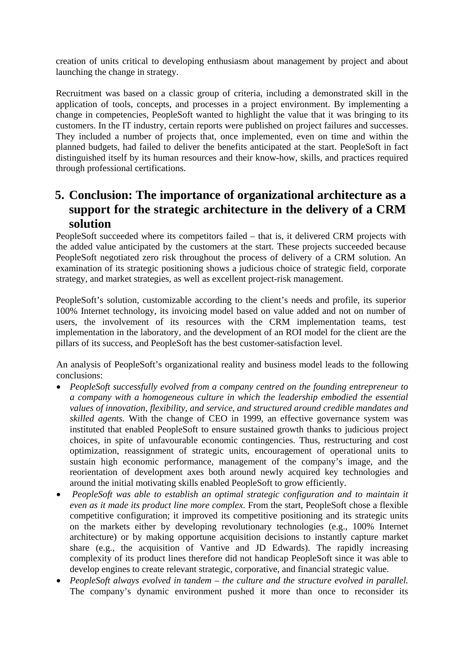creation of units critical to developing enthusiasm about management by project and about launching the change in strategy.

Recruitment was based on a classic group of criteria, including a demonstrated skill in the application of tools, concepts, and processes in a project environment. By implementing a change in competencies, PeopleSoft wanted to highlight the value that it was bringing to its customers. In the IT industry, certain reports were published on project failures and successes. They included a number of projects that, once implemented, even on time and within the planned budgets, had failed to deliver the benefits anticipated at the start. PeopleSoft in fact distinguished itself by its human resources and their know-how, skills, and practices required through professional certifications.

## **5. Conclusion: The importance of organizational architecture as a support for the strategic architecture in the delivery of a CRM solution**

PeopleSoft succeeded where its competitors failed – that is, it delivered CRM projects with the added value anticipated by the customers at the start. These projects succeeded because PeopleSoft negotiated zero risk throughout the process of delivery of a CRM solution. An examination of its strategic positioning shows a judicious choice of strategic field, corporate strategy, and market strategies, as well as excellent project-risk management.

PeopleSoft's solution, customizable according to the client's needs and profile, its superior 100% Internet technology, its invoicing model based on value added and not on number of users, the involvement of its resources with the CRM implementation teams, test implementation in the laboratory, and the development of an ROI model for the client are the pillars of its success, and PeopleSoft has the best customer-satisfaction level.

An analysis of PeopleSoft's organizational reality and business model leads to the following conclusions:

- *PeopleSoft successfully evolved from a company centred on the founding entrepreneur to a company with a homogeneous culture in which the leadership embodied the essential values of innovation, flexibility, and service, and structured around credible mandates and skilled agents.* With the change of CEO in 1999, an effective governance system was instituted that enabled PeopleSoft to ensure sustained growth thanks to judicious project choices, in spite of unfavourable economic contingencies. Thus, restructuring and cost optimization, reassignment of strategic units, encouragement of operational units to sustain high economic performance, management of the company's image, and the reorientation of development axes both around newly acquired key technologies and around the initial motivating skills enabled PeopleSoft to grow efficiently.
- *PeopleSoft was able to establish an optimal strategic configuration and to maintain it even as it made its product line more complex.* From the start, PeopleSoft chose a flexible competitive configuration; it improved its competitive positioning and its strategic units on the markets either by developing revolutionary technologies (e.g., 100% Internet architecture) or by making opportune acquisition decisions to instantly capture market share (e.g., the acquisition of Vantive and JD Edwards). The rapidly increasing complexity of its product lines therefore did not handicap PeopleSoft since it was able to develop engines to create relevant strategic, corporative, and financial strategic value.
- *PeopleSoft always evolved in tandem the culture and the structure evolved in parallel.* The company's dynamic environment pushed it more than once to reconsider its